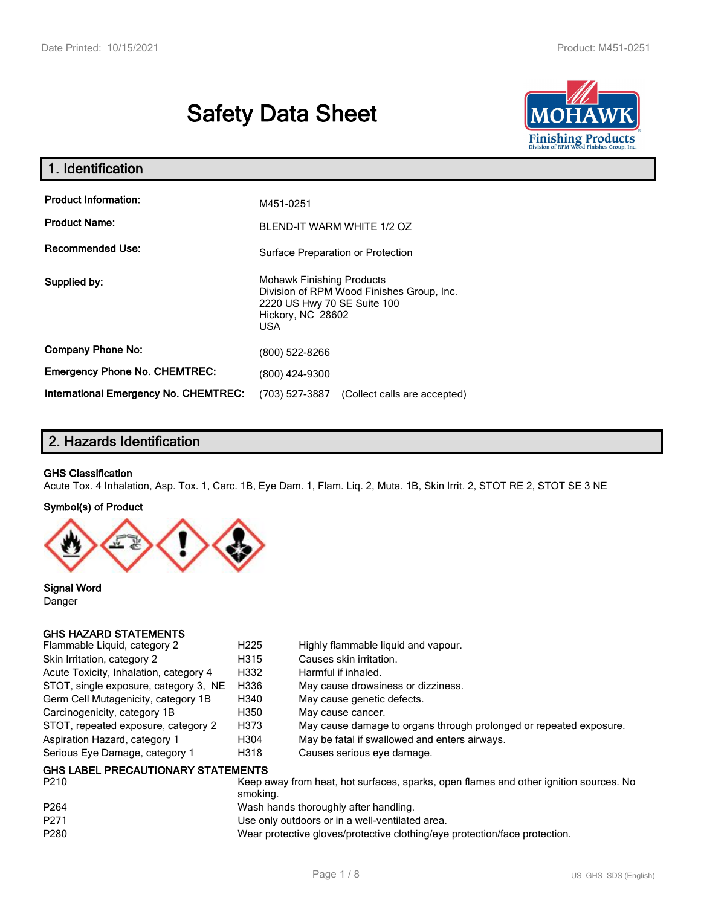# **Safety Data Sheet**



| 1. Identification                                   |                                                                                                                                          |  |
|-----------------------------------------------------|------------------------------------------------------------------------------------------------------------------------------------------|--|
| <b>Product Information:</b><br><b>Product Name:</b> | M451-0251<br>BLEND-IT WARM WHITE 1/2 OZ                                                                                                  |  |
| <b>Recommended Use:</b>                             | Surface Preparation or Protection                                                                                                        |  |
| Supplied by:                                        | <b>Mohawk Finishing Products</b><br>Division of RPM Wood Finishes Group, Inc.<br>2220 US Hwy 70 SE Suite 100<br>Hickory, NC 28602<br>USA |  |
| <b>Company Phone No:</b>                            | (800) 522-8266                                                                                                                           |  |
| <b>Emergency Phone No. CHEMTREC:</b>                | (800) 424-9300                                                                                                                           |  |
| International Emergency No. CHEMTREC:               | (703) 527-3887<br>(Collect calls are accepted)                                                                                           |  |

# **2. Hazards Identification**

#### **GHS Classification**

Acute Tox. 4 Inhalation, Asp. Tox. 1, Carc. 1B, Eye Dam. 1, Flam. Liq. 2, Muta. 1B, Skin Irrit. 2, STOT RE 2, STOT SE 3 NE

#### **Symbol(s) of Product**



**Signal Word** Danger

#### **GHS HAZARD STATEMENTS**

| Flammable Liquid, category 2              | H <sub>225</sub> | Highly flammable liguid and vapour.                                                   |
|-------------------------------------------|------------------|---------------------------------------------------------------------------------------|
| Skin Irritation, category 2               | H315             | Causes skin irritation.                                                               |
| Acute Toxicity, Inhalation, category 4    | H332             | Harmful if inhaled.                                                                   |
| STOT, single exposure, category 3, NE     | H336             | May cause drowsiness or dizziness.                                                    |
| Germ Cell Mutagenicity, category 1B       | H340             | May cause genetic defects.                                                            |
| Carcinogenicity, category 1B              | H350             | May cause cancer.                                                                     |
| STOT, repeated exposure, category 2       | H373             | May cause damage to organs through prolonged or repeated exposure.                    |
| Aspiration Hazard, category 1             | H304             | May be fatal if swallowed and enters airways.                                         |
| Serious Eye Damage, category 1            | H318             | Causes serious eye damage.                                                            |
| <b>GHS LABEL PRECAUTIONARY STATEMENTS</b> |                  |                                                                                       |
| P210                                      |                  | Keep away from heat, hot surfaces, sparks, open flames and other ignition sources. No |

| P <sub>264</sub><br>Wash hands thoroughly after handling.<br>P <sub>271</sub><br>Use only outdoors or in a well-ventilated area. |  |
|----------------------------------------------------------------------------------------------------------------------------------|--|
|                                                                                                                                  |  |
|                                                                                                                                  |  |
| P <sub>280</sub><br>Wear protective gloves/protective clothing/eye protection/face protection.                                   |  |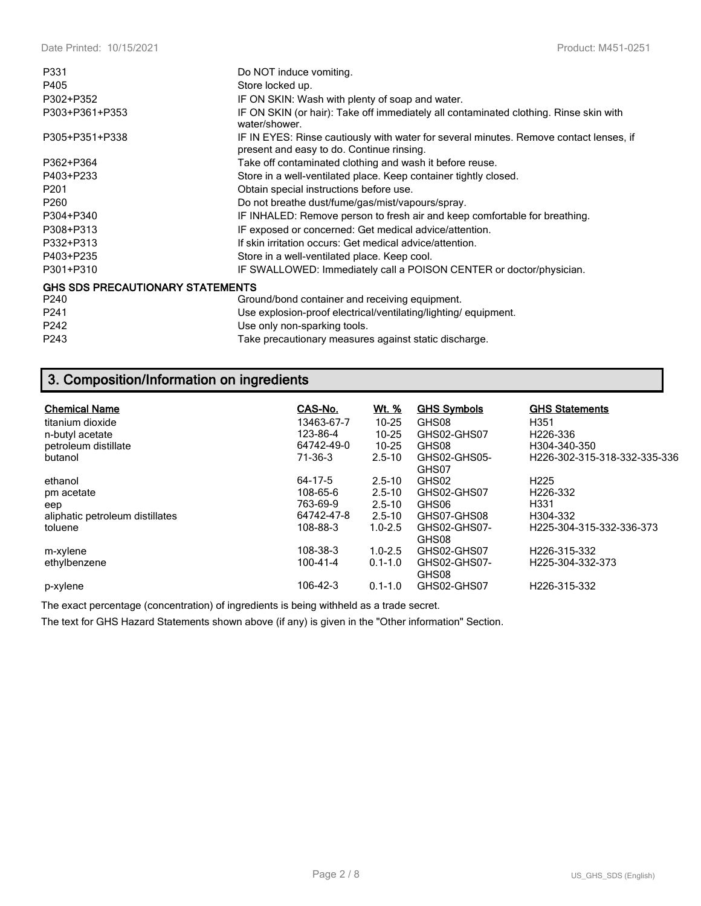| P405<br>Store locked up.                                                                                                                              |  |
|-------------------------------------------------------------------------------------------------------------------------------------------------------|--|
|                                                                                                                                                       |  |
| P302+P352<br>IF ON SKIN: Wash with plenty of soap and water.                                                                                          |  |
| IF ON SKIN (or hair): Take off immediately all contaminated clothing. Rinse skin with<br>P303+P361+P353<br>water/shower.                              |  |
| P305+P351+P338<br>IF IN EYES: Rinse cautiously with water for several minutes. Remove contact lenses, if<br>present and easy to do. Continue rinsing. |  |
| P362+P364<br>Take off contaminated clothing and wash it before reuse.                                                                                 |  |
| P403+P233<br>Store in a well-ventilated place. Keep container tightly closed.                                                                         |  |
| P <sub>201</sub><br>Obtain special instructions before use.                                                                                           |  |
| P <sub>260</sub><br>Do not breathe dust/fume/gas/mist/vapours/spray.                                                                                  |  |
| P304+P340<br>IF INHALED: Remove person to fresh air and keep comfortable for breathing.                                                               |  |
| IF exposed or concerned: Get medical advice/attention.<br>P308+P313                                                                                   |  |
| P332+P313<br>If skin irritation occurs: Get medical advice/attention.                                                                                 |  |
| P403+P235<br>Store in a well-ventilated place. Keep cool.                                                                                             |  |
| P301+P310<br>IF SWALLOWED: Immediately call a POISON CENTER or doctor/physician.                                                                      |  |
| <b>GHS SDS PRECAUTIONARY STATEMENTS</b>                                                                                                               |  |
| P240<br>Ground/bond container and receiving equipment.                                                                                                |  |
| P241<br>Use explosion-proof electrical/ventilating/lighting/equipment.                                                                                |  |
| P242<br>Use only non-sparking tools.                                                                                                                  |  |
| P243<br>Take precautionary measures against static discharge.                                                                                         |  |

# **3. Composition/Information on ingredients**

| <b>Chemical Name</b>            | CAS-No.    | <u>Wt. %</u> | <b>GHS Symbols</b>    | <b>GHS Statements</b>        |
|---------------------------------|------------|--------------|-----------------------|------------------------------|
| titanium dioxide                | 13463-67-7 | $10 - 25$    | GHS08                 | H351                         |
| n-butyl acetate                 | 123-86-4   | $10 - 25$    | GHS02-GHS07           | H <sub>226</sub> -336        |
| petroleum distillate            | 64742-49-0 | $10 - 25$    | GHS08                 | H304-340-350                 |
| butanol                         | 71-36-3    | $2.5 - 10$   | GHS02-GHS05-          | H226-302-315-318-332-335-336 |
|                                 |            |              | GHS07                 |                              |
| ethanol                         | 64-17-5    | $2.5 - 10$   | GHS02                 | H <sub>225</sub>             |
| pm acetate                      | 108-65-6   | $2.5 - 10$   | GHS02-GHS07           | H <sub>226</sub> -332        |
| eep                             | 763-69-9   | $2.5 - 10$   | GHS06                 | H331                         |
| aliphatic petroleum distillates | 64742-47-8 | $2.5 - 10$   | GHS07-GHS08           | H304-332                     |
| toluene                         | 108-88-3   | $1.0 - 2.5$  | GHS02-GHS07-<br>GHS08 | H225-304-315-332-336-373     |
| m-xylene                        | 108-38-3   | $1.0 - 2.5$  | GHS02-GHS07           | H <sub>226</sub> -315-332    |
| ethylbenzene                    | 100-41-4   | $0.1 - 1.0$  | GHS02-GHS07-<br>GHS08 | H225-304-332-373             |
| p-xylene                        | 106-42-3   | $0.1 - 1.0$  | GHS02-GHS07           | H226-315-332                 |

The exact percentage (concentration) of ingredients is being withheld as a trade secret.

The text for GHS Hazard Statements shown above (if any) is given in the "Other information" Section.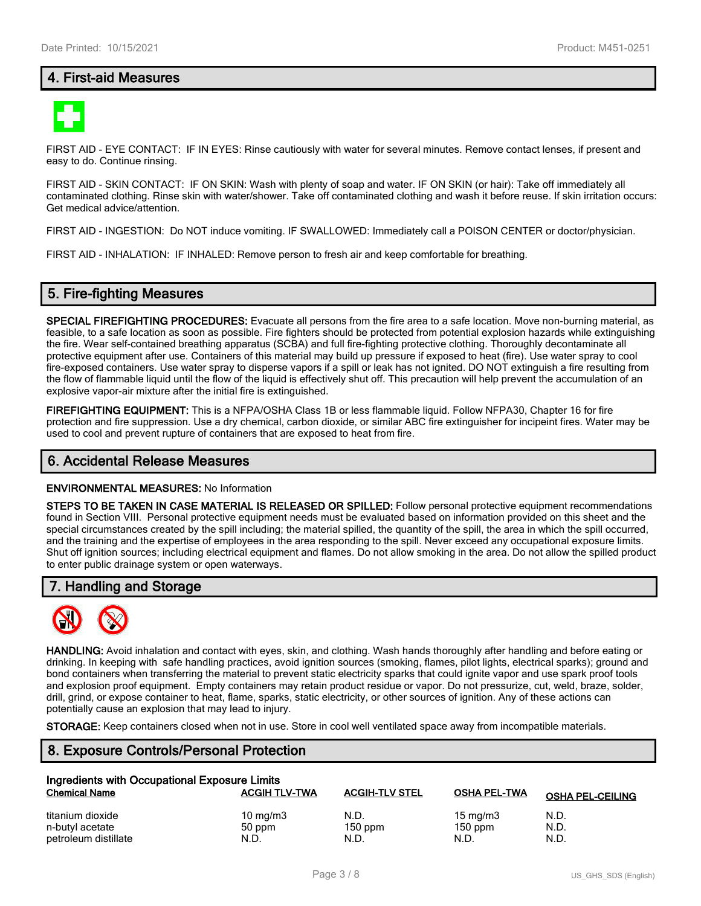# **4. First-aid Measures**



FIRST AID - EYE CONTACT: IF IN EYES: Rinse cautiously with water for several minutes. Remove contact lenses, if present and easy to do. Continue rinsing.

FIRST AID - SKIN CONTACT: IF ON SKIN: Wash with plenty of soap and water. IF ON SKIN (or hair): Take off immediately all contaminated clothing. Rinse skin with water/shower. Take off contaminated clothing and wash it before reuse. If skin irritation occurs: Get medical advice/attention.

FIRST AID - INGESTION: Do NOT induce vomiting. IF SWALLOWED: Immediately call a POISON CENTER or doctor/physician.

FIRST AID - INHALATION: IF INHALED: Remove person to fresh air and keep comfortable for breathing.

### **5. Fire-fighting Measures**

**SPECIAL FIREFIGHTING PROCEDURES:** Evacuate all persons from the fire area to a safe location. Move non-burning material, as feasible, to a safe location as soon as possible. Fire fighters should be protected from potential explosion hazards while extinguishing the fire. Wear self-contained breathing apparatus (SCBA) and full fire-fighting protective clothing. Thoroughly decontaminate all protective equipment after use. Containers of this material may build up pressure if exposed to heat (fire). Use water spray to cool fire-exposed containers. Use water spray to disperse vapors if a spill or leak has not ignited. DO NOT extinguish a fire resulting from the flow of flammable liquid until the flow of the liquid is effectively shut off. This precaution will help prevent the accumulation of an explosive vapor-air mixture after the initial fire is extinguished.

**FIREFIGHTING EQUIPMENT:** This is a NFPA/OSHA Class 1B or less flammable liquid. Follow NFPA30, Chapter 16 for fire protection and fire suppression. Use a dry chemical, carbon dioxide, or similar ABC fire extinguisher for incipeint fires. Water may be used to cool and prevent rupture of containers that are exposed to heat from fire.

#### **6. Accidental Release Measures**

#### **ENVIRONMENTAL MEASURES:** No Information

**STEPS TO BE TAKEN IN CASE MATERIAL IS RELEASED OR SPILLED:** Follow personal protective equipment recommendations found in Section VIII. Personal protective equipment needs must be evaluated based on information provided on this sheet and the special circumstances created by the spill including; the material spilled, the quantity of the spill, the area in which the spill occurred, and the training and the expertise of employees in the area responding to the spill. Never exceed any occupational exposure limits. Shut off ignition sources; including electrical equipment and flames. Do not allow smoking in the area. Do not allow the spilled product to enter public drainage system or open waterways.

### **7. Handling and Storage**



**HANDLING:** Avoid inhalation and contact with eyes, skin, and clothing. Wash hands thoroughly after handling and before eating or drinking. In keeping with safe handling practices, avoid ignition sources (smoking, flames, pilot lights, electrical sparks); ground and bond containers when transferring the material to prevent static electricity sparks that could ignite vapor and use spark proof tools and explosion proof equipment. Empty containers may retain product residue or vapor. Do not pressurize, cut, weld, braze, solder, drill, grind, or expose container to heat, flame, sparks, static electricity, or other sources of ignition. Any of these actions can potentially cause an explosion that may lead to injury.

**STORAGE:** Keep containers closed when not in use. Store in cool well ventilated space away from incompatible materials.

# **8. Exposure Controls/Personal Protection**

| Ingredients with Occupational Exposure Limits |                      |                       |                     |                         |  |  |
|-----------------------------------------------|----------------------|-----------------------|---------------------|-------------------------|--|--|
| <b>Chemical Name</b>                          | <b>ACGIH TLV-TWA</b> | <b>ACGIH-TLV STEL</b> | <b>OSHA PEL-TWA</b> | <b>OSHA PEL-CEILING</b> |  |  |
| titanium dioxide                              | $10 \text{ mg/m}$    | N.D.                  | $15 \text{ mg/m}$   | N.D.                    |  |  |
| n-butyl acetate                               | 50 ppm               | $150$ ppm             | $150$ ppm           | N.D.                    |  |  |
| petroleum distillate                          | N.D.                 | N.D.                  | N.D.                | N.D.                    |  |  |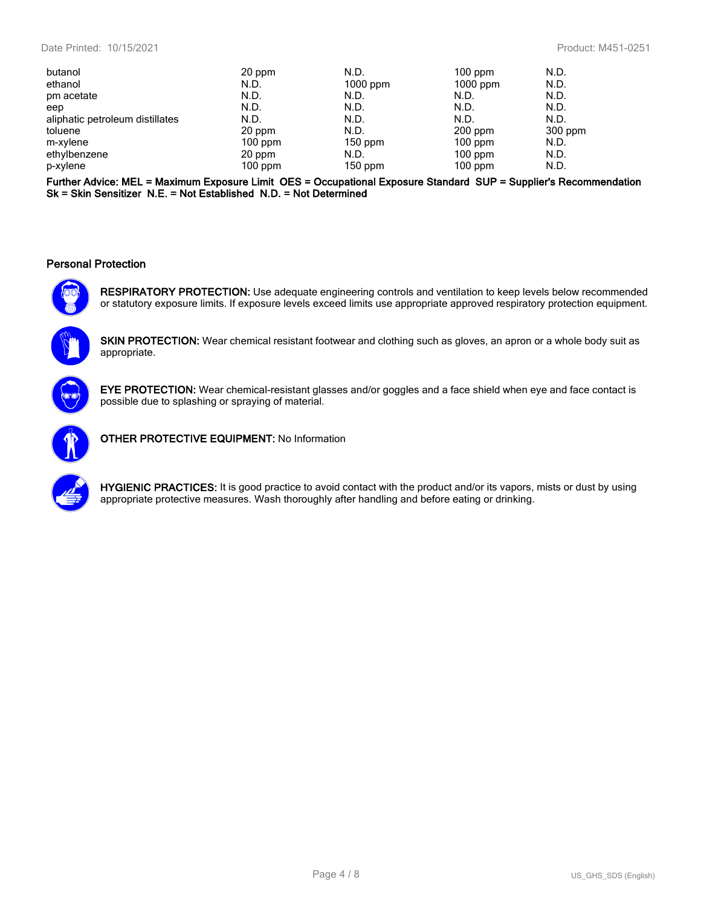| 20 ppm    | N.D.       | $100$ ppm  | N.D.    |
|-----------|------------|------------|---------|
| N.D.      | $1000$ ppm | $1000$ ppm | N.D.    |
| N.D.      | N.D.       | N.D.       | N.D.    |
| N.D.      | N.D.       | N.D.       | N.D.    |
| N.D.      | N.D.       | N.D.       | N.D.    |
| 20 ppm    | N.D.       | $200$ ppm  | 300 ppm |
| $100$ ppm |            | $100$ ppm  | N.D.    |
| 20 ppm    | N.D.       | $100$ ppm  | N.D.    |
| $100$ ppm | $150$ ppm  | $100$ ppm  | N.D.    |
|           |            | $150$ ppm  |         |

**Further Advice: MEL = Maximum Exposure Limit OES = Occupational Exposure Standard SUP = Supplier's Recommendation Sk = Skin Sensitizer N.E. = Not Established N.D. = Not Determined**

#### **Personal Protection**



**RESPIRATORY PROTECTION:** Use adequate engineering controls and ventilation to keep levels below recommended or statutory exposure limits. If exposure levels exceed limits use appropriate approved respiratory protection equipment.

**SKIN PROTECTION:** Wear chemical resistant footwear and clothing such as gloves, an apron or a whole body suit as appropriate.



**EYE PROTECTION:** Wear chemical-resistant glasses and/or goggles and a face shield when eye and face contact is possible due to splashing or spraying of material.



**OTHER PROTECTIVE EQUIPMENT:** No Information



**HYGIENIC PRACTICES:** It is good practice to avoid contact with the product and/or its vapors, mists or dust by using appropriate protective measures. Wash thoroughly after handling and before eating or drinking.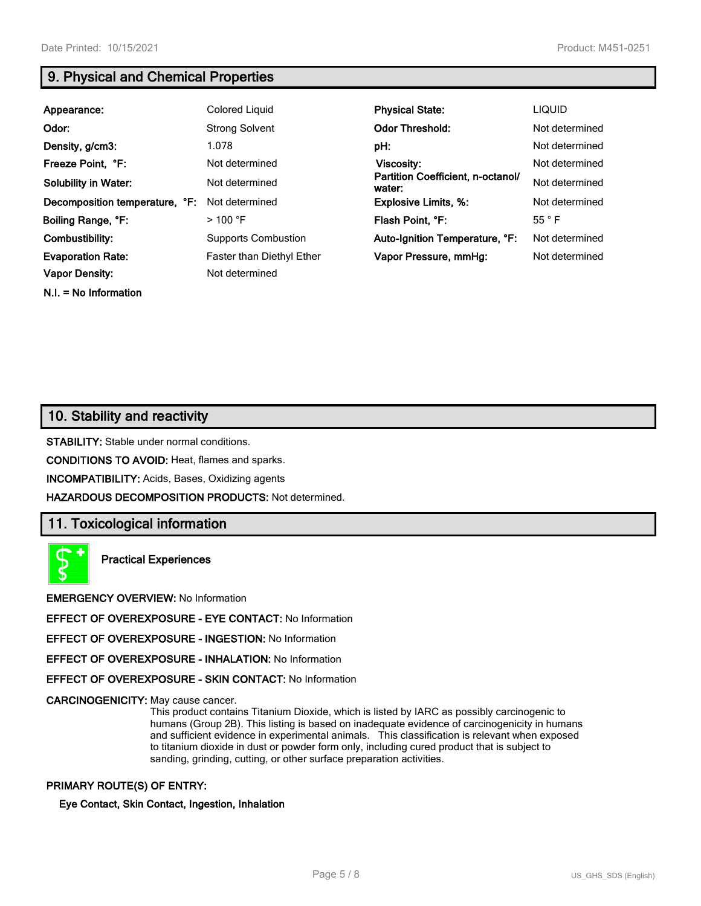**N.I. = No Information**

# **9. Physical and Chemical Properties**

| Appearance:                    | Colored Liguid                   | <b>Physical State:</b>                      | <b>LIQUID</b>  |
|--------------------------------|----------------------------------|---------------------------------------------|----------------|
| Odor:                          | <b>Strong Solvent</b>            | <b>Odor Threshold:</b>                      | Not determined |
| Density, g/cm3:                | 1.078                            | pH:                                         | Not determined |
| Freeze Point, °F:              | Not determined                   | Viscosity:                                  | Not determined |
| <b>Solubility in Water:</b>    | Not determined                   | Partition Coefficient, n-octanol/<br>water: | Not determined |
| Decomposition temperature, °F: | Not determined                   | <b>Explosive Limits, %:</b>                 | Not determined |
| Boiling Range, °F:             | $>$ 100 °F                       | Flash Point, °F:                            | 55 °F          |
| Combustibility:                | <b>Supports Combustion</b>       | Auto-Ignition Temperature, °F:              | Not determined |
| <b>Evaporation Rate:</b>       | <b>Faster than Diethyl Ether</b> | Vapor Pressure, mmHg:                       | Not determined |
| <b>Vapor Density:</b>          | Not determined                   |                                             |                |

# **10. Stability and reactivity**

**STABILITY:** Stable under normal conditions.

**CONDITIONS TO AVOID:** Heat, flames and sparks.

**INCOMPATIBILITY:** Acids, Bases, Oxidizing agents

**HAZARDOUS DECOMPOSITION PRODUCTS:** Not determined.

# **11. Toxicological information**



**Practical Experiences**

**EMERGENCY OVERVIEW:** No Information

**EFFECT OF OVEREXPOSURE - EYE CONTACT:** No Information

**EFFECT OF OVEREXPOSURE - INGESTION:** No Information

**EFFECT OF OVEREXPOSURE - INHALATION:** No Information

**EFFECT OF OVEREXPOSURE - SKIN CONTACT:** No Information

**CARCINOGENICITY:** May cause cancer.

This product contains Titanium Dioxide, which is listed by IARC as possibly carcinogenic to humans (Group 2B). This listing is based on inadequate evidence of carcinogenicity in humans and sufficient evidence in experimental animals. This classification is relevant when exposed to titanium dioxide in dust or powder form only, including cured product that is subject to sanding, grinding, cutting, or other surface preparation activities.

#### **PRIMARY ROUTE(S) OF ENTRY:**

#### **Eye Contact, Skin Contact, Ingestion, Inhalation**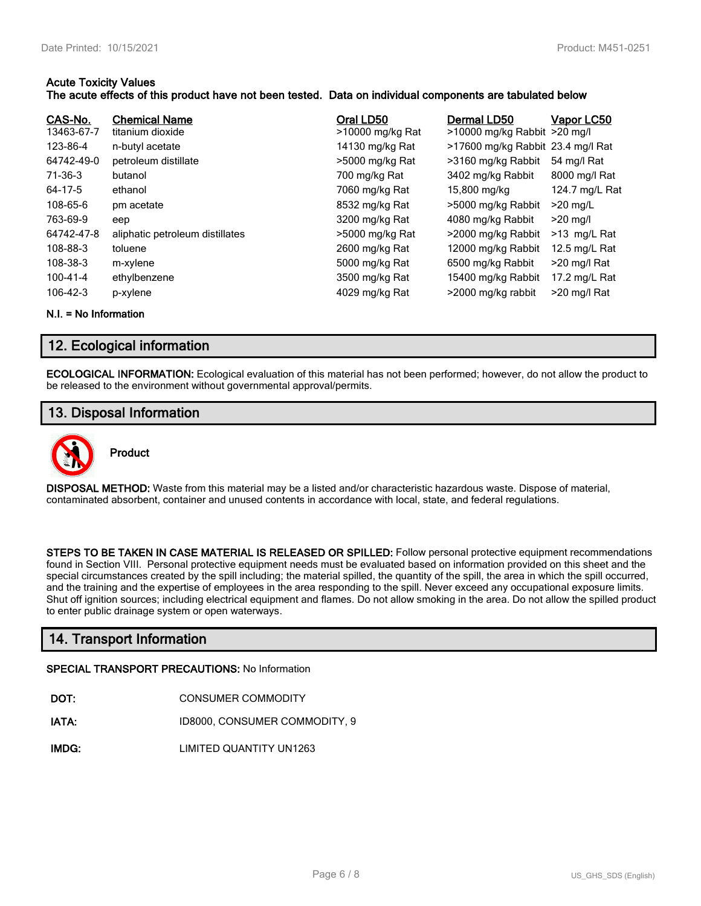#### **Acute Toxicity Values**

#### **The acute effects of this product have not been tested. Data on individual components are tabulated below**

| CAS-No.<br>13463-67-7 | <b>Chemical Name</b><br>titanium dioxide | Oral LD50<br>>10000 mg/kg Rat | Dermal LD50<br>>10000 mg/kg Rabbit >20 mg/l | Vapor LC50     |
|-----------------------|------------------------------------------|-------------------------------|---------------------------------------------|----------------|
| 123-86-4              | n-butyl acetate                          | 14130 mg/kg Rat               | >17600 mg/kg Rabbit 23.4 mg/l Rat           |                |
| 64742-49-0            | petroleum distillate                     | >5000 mg/kg Rat               | >3160 mg/kg Rabbit                          | 54 mg/l Rat    |
| 71-36-3               | butanol                                  | 700 mg/kg Rat                 | 3402 mg/kg Rabbit                           | 8000 mg/l Rat  |
| 64-17-5               | ethanol                                  | 7060 mg/kg Rat                | 15,800 mg/kg                                | 124.7 mg/L Rat |
| 108-65-6              | pm acetate                               | 8532 mg/kg Rat                | >5000 mg/kg Rabbit                          | $>20$ mg/L     |
| 763-69-9              | eep                                      | 3200 mg/kg Rat                | 4080 mg/kg Rabbit                           | $>20$ mg/l     |
| 64742-47-8            | aliphatic petroleum distillates          | >5000 mg/kg Rat               | >2000 mg/kg Rabbit                          | $>13$ mg/L Rat |
| 108-88-3              | toluene                                  | 2600 mg/kg Rat                | 12000 mg/kg Rabbit                          | 12.5 mg/L Rat  |
| 108-38-3              | m-xylene                                 | 5000 mg/kg Rat                | 6500 mg/kg Rabbit                           | >20 mg/l Rat   |
| 100-41-4              | ethylbenzene                             | 3500 mg/kg Rat                | 15400 mg/kg Rabbit                          | 17.2 mg/L Rat  |
| 106-42-3              | p-xylene                                 | 4029 mg/kg Rat                | >2000 mg/kg rabbit                          | >20 mg/l Rat   |

**N.I. = No Information**

# **12. Ecological information**

**ECOLOGICAL INFORMATION:** Ecological evaluation of this material has not been performed; however, do not allow the product to be released to the environment without governmental approval/permits.

# **13. Disposal Information**



# **Product**

**DISPOSAL METHOD:** Waste from this material may be a listed and/or characteristic hazardous waste. Dispose of material, contaminated absorbent, container and unused contents in accordance with local, state, and federal regulations.

**STEPS TO BE TAKEN IN CASE MATERIAL IS RELEASED OR SPILLED:** Follow personal protective equipment recommendations found in Section VIII. Personal protective equipment needs must be evaluated based on information provided on this sheet and the special circumstances created by the spill including; the material spilled, the quantity of the spill, the area in which the spill occurred, and the training and the expertise of employees in the area responding to the spill. Never exceed any occupational exposure limits. Shut off ignition sources; including electrical equipment and flames. Do not allow smoking in the area. Do not allow the spilled product to enter public drainage system or open waterways.

# **14. Transport Information**

### **SPECIAL TRANSPORT PRECAUTIONS:** No Information

| DOT: | CONSUMER COMMODITY |
|------|--------------------|
|      |                    |

**IATA:** ID8000, CONSUMER COMMODITY, 9

**IMDG:** LIMITED QUANTITY UN1263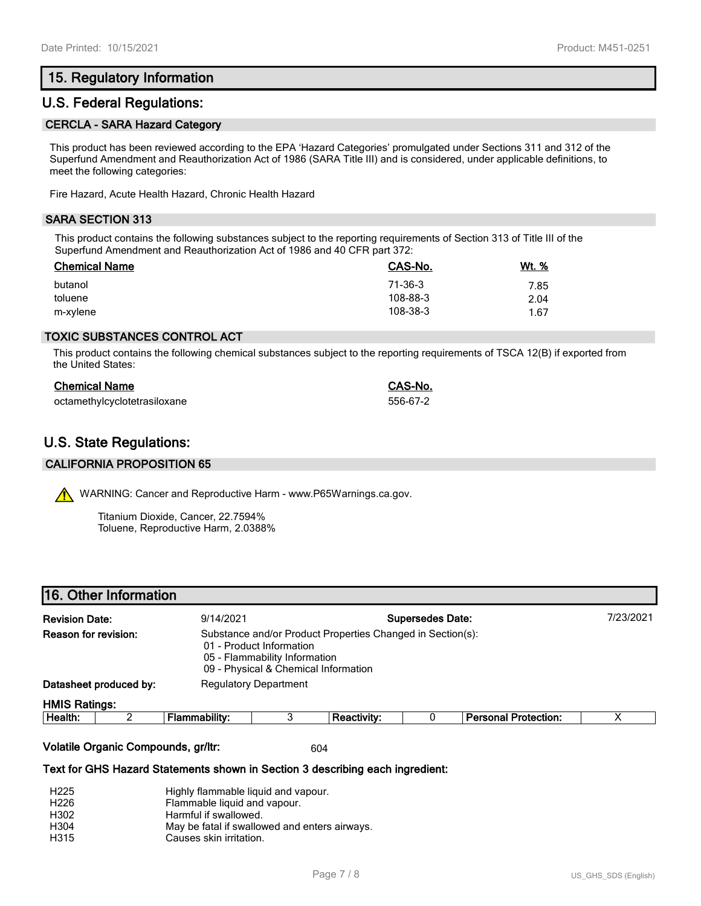# **15. Regulatory Information**

# **U.S. Federal Regulations:**

#### **CERCLA - SARA Hazard Category**

This product has been reviewed according to the EPA 'Hazard Categories' promulgated under Sections 311 and 312 of the Superfund Amendment and Reauthorization Act of 1986 (SARA Title III) and is considered, under applicable definitions, to meet the following categories:

Fire Hazard, Acute Health Hazard, Chronic Health Hazard

#### **SARA SECTION 313**

This product contains the following substances subject to the reporting requirements of Section 313 of Title III of the Superfund Amendment and Reauthorization Act of 1986 and 40 CFR part 372:

| <b>Chemical Name</b> | CAS-No.  | Wt. % |
|----------------------|----------|-------|
| butanol              | 71-36-3  | 7.85  |
| toluene              | 108-88-3 | 2.04  |
| m-xylene             | 108-38-3 | 1.67  |

#### **TOXIC SUBSTANCES CONTROL ACT**

This product contains the following chemical substances subject to the reporting requirements of TSCA 12(B) if exported from the United States:

| <b>Chemical Name</b>         | CAS-No.  |
|------------------------------|----------|
| octamethylcyclotetrasiloxane | 556-67-2 |

# **U.S. State Regulations:**

#### **CALIFORNIA PROPOSITION 65**

WARNING: Cancer and Reproductive Harm - www.P65Warnings.ca.gov.

Titanium Dioxide, Cancer, 22.7594% Toluene, Reproductive Harm, 2.0388%

| <b>To. Other Information</b> |                                                                 |
|------------------------------|-----------------------------------------------------------------|
| <b>Revision Date:</b>        | 9/14/2021                                                       |
| Reason for revision:         | Substance and/or Product Properties<br>01 - Product Information |

| <u>ULE FIUUUULIIIUIIII AUUIT</u> |
|----------------------------------|
| OF Flammability Information      |

 05 - Flammability Information 09 - Physical & Chemical Information

**Datasheet produced by:** Regulatory Department

**16. Other Information**

#### **HMIS Ratings:**

| Health: | .<br>.<br>. | nntv.<br>- | rotection:<br>Daroc<br>-- |  |
|---------|-------------|------------|---------------------------|--|
|         |             |            |                           |  |

**Changed in Section(s):** 

#### **Volatile Organic Compounds, gr/ltr:** 604

#### **Text for GHS Hazard Statements shown in Section 3 describing each ingredient:**

| H <sub>225</sub> | Highly flammable liquid and vapour.           |
|------------------|-----------------------------------------------|
| H <sub>226</sub> | Flammable liquid and vapour.                  |
| H302             | Harmful if swallowed.                         |
| H304             | May be fatal if swallowed and enters airways. |
| H315             | Causes skin irritation.                       |

**Revision Date:** 9/14/2021 **Supersedes Date:** 7/23/2021